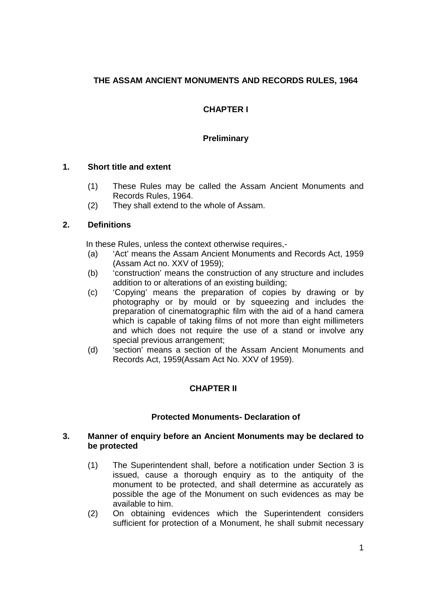# **THE ASSAM ANCIENT MONUMENTS AND RECORDS RULES, 1964**

# **CHAPTER I**

## **Preliminary**

### **1. Short title and extent**

- (1) These Rules may be called the Assam Ancient Monuments and Records Rules, 1964.
- (2) They shall extend to the whole of Assam.

## **2. Definitions**

In these Rules, unless the context otherwise requires,-

- (a) 'Act' means the Assam Ancient Monuments and Records Act, 1959 (Assam Act no. XXV of 1959);
- (b) 'construction' means the construction of any structure and includes addition to or alterations of an existing building;
- (c) 'Copying' means the preparation of copies by drawing or by photography or by mould or by squeezing and includes the preparation of cinematographic film with the aid of a hand camera which is capable of taking films of not more than eight millimeters and which does not require the use of a stand or involve any special previous arrangement;
- (d) 'section' means a section of the Assam Ancient Monuments and Records Act, 1959(Assam Act No. XXV of 1959).

## **CHAPTER II**

## **Protected Monuments- Declaration of**

#### **3. Manner of enquiry before an Ancient Monuments may be declared to be protected**

- (1) The Superintendent shall, before a notification under Section 3 is issued, cause a thorough enquiry as to the antiquity of the monument to be protected, and shall determine as accurately as possible the age of the Monument on such evidences as may be available to him.
- (2) On obtaining evidences which the Superintendent considers sufficient for protection of a Monument, he shall submit necessary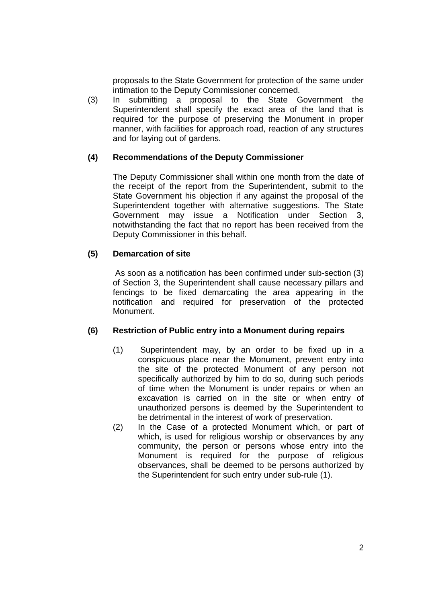proposals to the State Government for protection of the same under intimation to the Deputy Commissioner concerned.

(3) In submitting a proposal to the State Government the Superintendent shall specify the exact area of the land that is required for the purpose of preserving the Monument in proper manner, with facilities for approach road, reaction of any structures and for laying out of gardens.

### **(4) Recommendations of the Deputy Commissioner**

The Deputy Commissioner shall within one month from the date of the receipt of the report from the Superintendent, submit to the State Government his objection if any against the proposal of the Superintendent together with alternative suggestions. The State Government may issue a Notification under Section 3, notwithstanding the fact that no report has been received from the Deputy Commissioner in this behalf.

### **(5) Demarcation of site**

As soon as a notification has been confirmed under sub-section (3) of Section 3, the Superintendent shall cause necessary pillars and fencings to be fixed demarcating the area appearing in the notification and required for preservation of the protected Monument.

#### **(6) Restriction of Public entry into a Monument during repairs**

- (1) Superintendent may, by an order to be fixed up in a conspicuous place near the Monument, prevent entry into the site of the protected Monument of any person not specifically authorized by him to do so, during such periods of time when the Monument is under repairs or when an excavation is carried on in the site or when entry of unauthorized persons is deemed by the Superintendent to be detrimental in the interest of work of preservation.
- (2) In the Case of a protected Monument which, or part of which, is used for religious worship or observances by any community, the person or persons whose entry into the Monument is required for the purpose of religious observances, shall be deemed to be persons authorized by the Superintendent for such entry under sub-rule (1).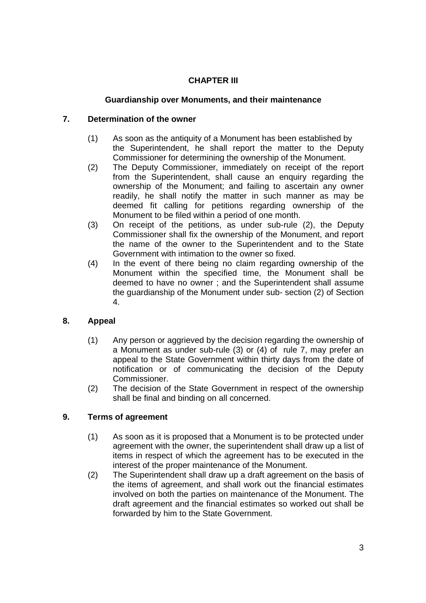# **CHAPTER III**

# **Guardianship over Monuments, and their maintenance**

## **7. Determination of the owner**

- (1) As soon as the antiquity of a Monument has been established by the Superintendent, he shall report the matter to the Deputy Commissioner for determining the ownership of the Monument.
- (2) The Deputy Commissioner, immediately on receipt of the report from the Superintendent, shall cause an enquiry regarding the ownership of the Monument; and failing to ascertain any owner readily, he shall notify the matter in such manner as may be deemed fit calling for petitions regarding ownership of the Monument to be filed within a period of one month.
- (3) On receipt of the petitions, as under sub-rule (2), the Deputy Commissioner shall fix the ownership of the Monument, and report the name of the owner to the Superintendent and to the State Government with intimation to the owner so fixed.
- (4) In the event of there being no claim regarding ownership of the Monument within the specified time, the Monument shall be deemed to have no owner ; and the Superintendent shall assume the guardianship of the Monument under sub- section (2) of Section 4.

# **8. Appeal**

- (1) Any person or aggrieved by the decision regarding the ownership of a Monument as under sub-rule (3) or (4) of rule 7, may prefer an appeal to the State Government within thirty days from the date of notification or of communicating the decision of the Deputy Commissioner.
- (2) The decision of the State Government in respect of the ownership shall be final and binding on all concerned.

# **9. Terms of agreement**

- (1) As soon as it is proposed that a Monument is to be protected under agreement with the owner, the superintendent shall draw up a list of items in respect of which the agreement has to be executed in the interest of the proper maintenance of the Monument.
- (2) The Superintendent shall draw up a draft agreement on the basis of the items of agreement, and shall work out the financial estimates involved on both the parties on maintenance of the Monument. The draft agreement and the financial estimates so worked out shall be forwarded by him to the State Government.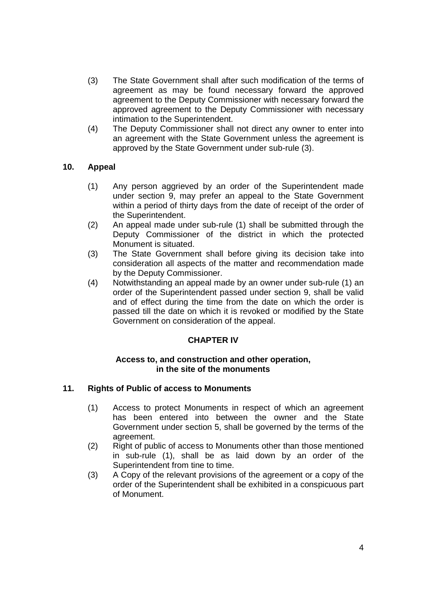- (3) The State Government shall after such modification of the terms of agreement as may be found necessary forward the approved agreement to the Deputy Commissioner with necessary forward the approved agreement to the Deputy Commissioner with necessary intimation to the Superintendent.
- (4) The Deputy Commissioner shall not direct any owner to enter into an agreement with the State Government unless the agreement is approved by the State Government under sub-rule (3).

## **10. Appeal**

- (1) Any person aggrieved by an order of the Superintendent made under section 9, may prefer an appeal to the State Government within a period of thirty days from the date of receipt of the order of the Superintendent.
- (2) An appeal made under sub-rule (1) shall be submitted through the Deputy Commissioner of the district in which the protected Monument is situated.
- (3) The State Government shall before giving its decision take into consideration all aspects of the matter and recommendation made by the Deputy Commissioner.
- (4) Notwithstanding an appeal made by an owner under sub-rule (1) an order of the Superintendent passed under section 9, shall be valid and of effect during the time from the date on which the order is passed till the date on which it is revoked or modified by the State Government on consideration of the appeal.

#### **CHAPTER IV**

#### **Access to, and construction and other operation, in the site of the monuments**

#### **11. Rights of Public of access to Monuments**

- (1) Access to protect Monuments in respect of which an agreement has been entered into between the owner and the State Government under section 5, shall be governed by the terms of the agreement.
- (2) Right of public of access to Monuments other than those mentioned in sub-rule (1), shall be as laid down by an order of the Superintendent from tine to time.
- (3) A Copy of the relevant provisions of the agreement or a copy of the order of the Superintendent shall be exhibited in a conspicuous part of Monument.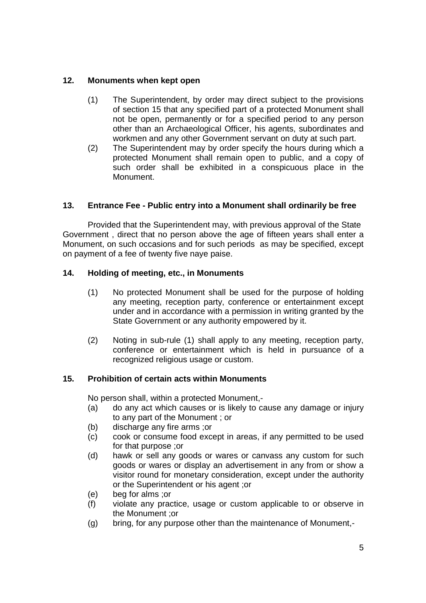## **12. Monuments when kept open**

- (1) The Superintendent, by order may direct subject to the provisions of section 15 that any specified part of a protected Monument shall not be open, permanently or for a specified period to any person other than an Archaeological Officer, his agents, subordinates and workmen and any other Government servant on duty at such part.
- (2) The Superintendent may by order specify the hours during which a protected Monument shall remain open to public, and a copy of such order shall be exhibited in a conspicuous place in the Monument.

# **13. Entrance Fee - Public entry into a Monument shall ordinarily be free**

Provided that the Superintendent may, with previous approval of the State Government , direct that no person above the age of fifteen years shall enter a Monument, on such occasions and for such periods as may be specified, except on payment of a fee of twenty five naye paise.

# **14. Holding of meeting, etc., in Monuments**

- (1) No protected Monument shall be used for the purpose of holding any meeting, reception party, conference or entertainment except under and in accordance with a permission in writing granted by the State Government or any authority empowered by it.
- (2) Noting in sub-rule (1) shall apply to any meeting, reception party, conference or entertainment which is held in pursuance of a recognized religious usage or custom.

## **15. Prohibition of certain acts within Monuments**

No person shall, within a protected Monument,-

- (a) do any act which causes or is likely to cause any damage or injury to any part of the Monument ; or
- (b) discharge any fire arms ;or
- (c) cook or consume food except in areas, if any permitted to be used for that purpose ;or
- (d) hawk or sell any goods or wares or canvass any custom for such goods or wares or display an advertisement in any from or show a visitor round for monetary consideration, except under the authority or the Superintendent or his agent ;or
- (e) beg for alms ;or
- (f) violate any practice, usage or custom applicable to or observe in the Monument ;or
- (g) bring, for any purpose other than the maintenance of Monument,-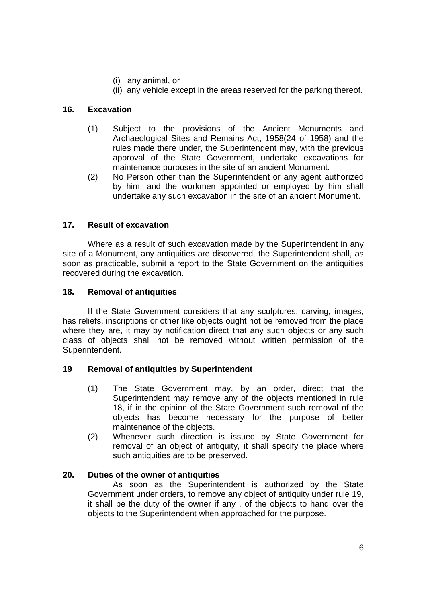- (i) any animal, or
- (ii) any vehicle except in the areas reserved for the parking thereof.

### **16. Excavation**

- (1) Subject to the provisions of the Ancient Monuments and Archaeological Sites and Remains Act, 1958(24 of 1958) and the rules made there under, the Superintendent may, with the previous approval of the State Government, undertake excavations for maintenance purposes in the site of an ancient Monument.
- (2) No Person other than the Superintendent or any agent authorized by him, and the workmen appointed or employed by him shall undertake any such excavation in the site of an ancient Monument.

## **17. Result of excavation**

Where as a result of such excavation made by the Superintendent in any site of a Monument, any antiquities are discovered, the Superintendent shall, as soon as practicable, submit a report to the State Government on the antiquities recovered during the excavation.

#### **18. Removal of antiquities**

If the State Government considers that any sculptures, carving, images, has reliefs, inscriptions or other like objects ought not be removed from the place where they are, it may by notification direct that any such objects or any such class of objects shall not be removed without written permission of the Superintendent.

#### **19 Removal of antiquities by Superintendent**

- (1) The State Government may, by an order, direct that the Superintendent may remove any of the objects mentioned in rule 18, if in the opinion of the State Government such removal of the objects has become necessary for the purpose of better maintenance of the objects.
- (2) Whenever such direction is issued by State Government for removal of an object of antiquity, it shall specify the place where such antiquities are to be preserved.

#### **20. Duties of the owner of antiquities**

As soon as the Superintendent is authorized by the State Government under orders, to remove any object of antiquity under rule 19, it shall be the duty of the owner if any , of the objects to hand over the objects to the Superintendent when approached for the purpose.